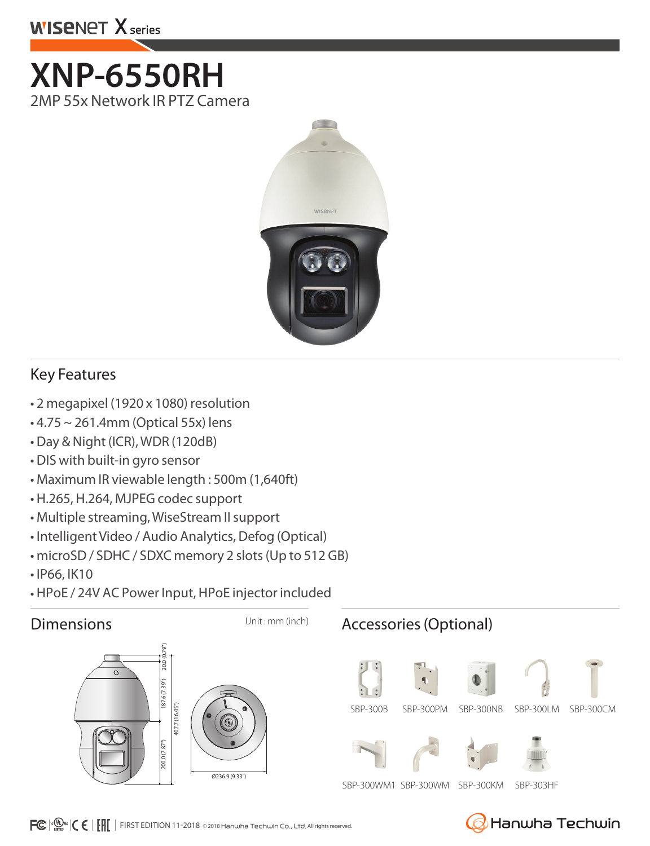# **WISENET X series**

**XNP-6550RH**  2MP 55x Network IR PTZ Camera



## Key Features

- 2 megapixel (1920 x 1080) resolution
- 4.75 ~ 261.4mm (Optical 55x) lens
- Day & Night (ICR), WDR (120dB)
- DIS with built-in gyro sensor
- Maximum IR viewable length : 500m (1,640ft)
- H.265, H.264, MJPEG codec support
- Multiple streaming, WiseStream II support
- Intelligent Video / Audio Analytics, Defog (Optical)
- microSD / SDHC / SDXC memory 2 slots (Up to 512 GB)
- IP66, IK10
- HPoE / 24V AC Power Input, HPoE injector included



Hanwha Techwin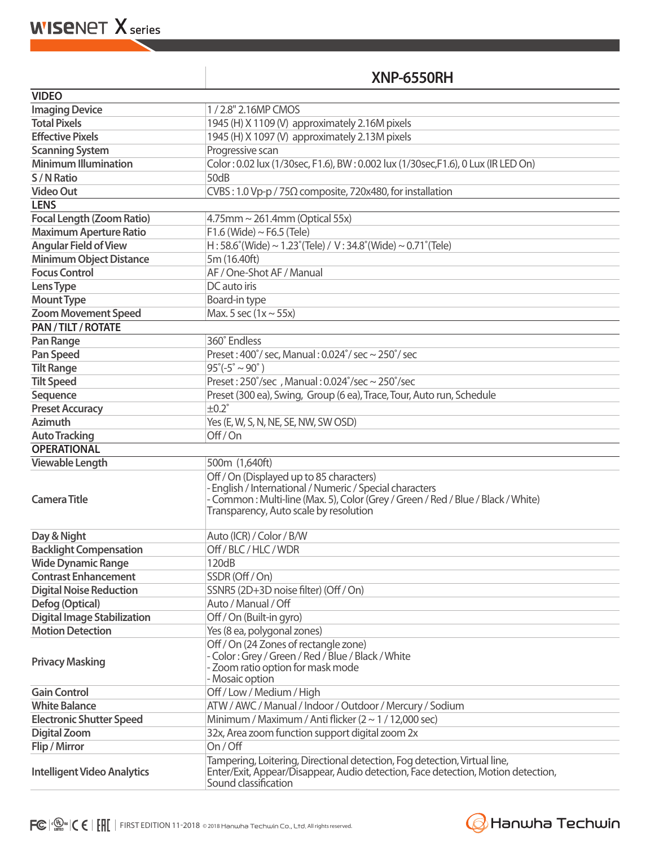**WISENET X** series

### **XNP-6550RH**

| <b>VIDEO</b>                                      |                                                                                                                                                                                                                                    |
|---------------------------------------------------|------------------------------------------------------------------------------------------------------------------------------------------------------------------------------------------------------------------------------------|
| <b>Imaging Device</b>                             | 1/2.8" 2.16MP CMOS                                                                                                                                                                                                                 |
| <b>Total Pixels</b>                               | 1945 (H) X 1109 (V) approximately 2.16M pixels                                                                                                                                                                                     |
| <b>Effective Pixels</b>                           | 1945 (H) X 1097 (V) approximately 2.13M pixels                                                                                                                                                                                     |
| <b>Scanning System</b>                            | Progressive scan                                                                                                                                                                                                                   |
| <b>Minimum Illumination</b>                       | Color: 0.02 lux (1/30sec, F1.6), BW: 0.002 lux (1/30sec, F1.6), 0 Lux (IR LED On)                                                                                                                                                  |
| S/N Ratio                                         | 50dB                                                                                                                                                                                                                               |
| <b>Video Out</b>                                  | CVBS: 1.0 Vp-p / 75 $\Omega$ composite, 720x480, for installation                                                                                                                                                                  |
| <b>LENS</b>                                       |                                                                                                                                                                                                                                    |
| <b>Focal Length (Zoom Ratio)</b>                  | $4.75$ mm ~ 261.4mm (Optical 55x)                                                                                                                                                                                                  |
| <b>Maximum Aperture Ratio</b>                     | $F1.6$ (Wide) ~ $F6.5$ (Tele)                                                                                                                                                                                                      |
| <b>Angular Field of View</b>                      | H: 58.6°(Wide) ~ 1.23°(Tele) / V: 34.8°(Wide) ~ 0.71°(Tele)                                                                                                                                                                        |
| <b>Minimum Object Distance</b>                    | 5m (16.40ft)                                                                                                                                                                                                                       |
| <b>Focus Control</b>                              | AF / One-Shot AF / Manual                                                                                                                                                                                                          |
| Lens Type                                         | DC auto iris                                                                                                                                                                                                                       |
|                                                   |                                                                                                                                                                                                                                    |
| <b>Mount Type</b>                                 | Board-in type                                                                                                                                                                                                                      |
| <b>Zoom Movement Speed</b><br>PAN / TILT / ROTATE | Max. 5 sec $(1x \sim 55x)$                                                                                                                                                                                                         |
|                                                   |                                                                                                                                                                                                                                    |
| Pan Range                                         | 360° Endless                                                                                                                                                                                                                       |
| <b>Pan Speed</b>                                  | Preset: 400°/ sec, Manual: 0.024°/ sec ~ 250°/ sec                                                                                                                                                                                 |
| <b>Tilt Range</b>                                 | $95^{\circ}(-5^{\circ} \sim 90^{\circ})$                                                                                                                                                                                           |
| <b>Tilt Speed</b>                                 | Preset: $250^{\circ}/sec$ , Manual: $0.024^{\circ}/sec \sim 250^{\circ}/sec$                                                                                                                                                       |
| Sequence                                          | Preset (300 ea), Swing, Group (6 ea), Trace, Tour, Auto run, Schedule                                                                                                                                                              |
| <b>Preset Accuracy</b>                            | $\pm 0.2^\circ$                                                                                                                                                                                                                    |
| <b>Azimuth</b>                                    | Yes (E, W, S, N, NE, SE, NW, SW OSD)                                                                                                                                                                                               |
| <b>Auto Tracking</b>                              | Off/On                                                                                                                                                                                                                             |
| <b>OPERATIONAL</b>                                |                                                                                                                                                                                                                                    |
| <b>Viewable Length</b>                            | 500m (1,640ft)                                                                                                                                                                                                                     |
| <b>Camera Title</b>                               | Off / On (Displayed up to 85 characters)<br>- English / International / Numeric / Special characters<br>- Common: Multi-line (Max. 5), Color (Grey / Green / Red / Blue / Black / White)<br>Transparency, Auto scale by resolution |
| Day & Night                                       | Auto (ICR) / Color / B/W                                                                                                                                                                                                           |
| <b>Backlight Compensation</b>                     | Off / BLC / HLC / WDR                                                                                                                                                                                                              |
| <b>Wide Dynamic Range</b>                         | 120dB                                                                                                                                                                                                                              |
| <b>Contrast Enhancement</b>                       | SSDR (Off / On)                                                                                                                                                                                                                    |
| <b>Digital Noise Reduction</b>                    |                                                                                                                                                                                                                                    |
|                                                   | SSNR5 (2D+3D noise filter) (Off / On)                                                                                                                                                                                              |
| Defog (Optical)                                   | Auto / Manual / Off                                                                                                                                                                                                                |
| <b>Digital Image Stabilization</b>                | Off / On (Built-in gyro)                                                                                                                                                                                                           |
| <b>Motion Detection</b>                           | Yes (8 ea, polygonal zones)                                                                                                                                                                                                        |
| <b>Privacy Masking</b>                            | Off / On (24 Zones of rectangle zone)<br>- Color: Grey / Green / Red / Blue / Black / White<br>- Zoom ratio option for mask mode<br>- Mosaic option                                                                                |
| <b>Gain Control</b>                               | Off / Low / Medium / High                                                                                                                                                                                                          |
| <b>White Balance</b>                              | ATW / AWC / Manual / Indoor / Outdoor / Mercury / Sodium                                                                                                                                                                           |
| <b>Electronic Shutter Speed</b>                   | Minimum / Maximum / Anti flicker $(2 \sim 1 / 12,000 \text{ sec})$                                                                                                                                                                 |
| <b>Digital Zoom</b>                               | 32x, Area zoom function support digital zoom 2x                                                                                                                                                                                    |
| Flip / Mirror                                     | On/Off                                                                                                                                                                                                                             |
| <b>Intelligent Video Analytics</b>                | Tampering, Loitering, Directional detection, Fog detection, Virtual line,<br>Enter/Exit, Appear/Disappear, Audio detection, Face detection, Motion detection,<br>Sound classification                                              |

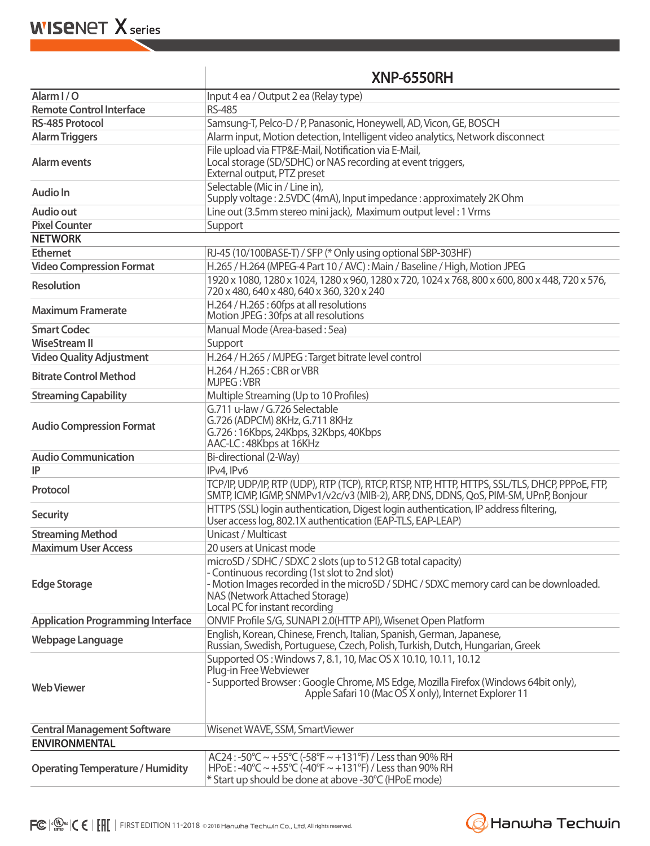#### **XNP-6550RH**

| Alarm I/O                                | Input 4 ea / Output 2 ea (Relay type)                                                                                                                                                                                                                                    |
|------------------------------------------|--------------------------------------------------------------------------------------------------------------------------------------------------------------------------------------------------------------------------------------------------------------------------|
| <b>Remote Control Interface</b>          | <b>RS-485</b>                                                                                                                                                                                                                                                            |
| <b>RS-485 Protocol</b>                   | Samsung-T, Pelco-D / P, Panasonic, Honeywell, AD, Vicon, GE, BOSCH                                                                                                                                                                                                       |
| <b>Alarm Triggers</b>                    | Alarm input, Motion detection, Intelligent video analytics, Network disconnect                                                                                                                                                                                           |
| Alarm events                             | File upload via FTP&E-Mail, Notification via E-Mail,<br>Local storage (SD/SDHC) or NAS recording at event triggers,<br>External output, PTZ preset                                                                                                                       |
| <b>Audio In</b>                          | Selectable (Mic in / Line in),<br>Supply voltage: 2.5VDC (4mA), Input impedance: approximately 2K Ohm                                                                                                                                                                    |
| <b>Audio out</b>                         | Line out (3.5mm stereo mini jack), Maximum output level: 1 Vrms                                                                                                                                                                                                          |
| <b>Pixel Counter</b>                     | Support                                                                                                                                                                                                                                                                  |
| <b>NETWORK</b>                           |                                                                                                                                                                                                                                                                          |
| <b>Ethernet</b>                          | RJ-45 (10/100BASE-T) / SFP (* Only using optional SBP-303HF)                                                                                                                                                                                                             |
| <b>Video Compression Format</b>          | H.265 / H.264 (MPEG-4 Part 10 / AVC): Main / Baseline / High, Motion JPEG                                                                                                                                                                                                |
| <b>Resolution</b>                        | 1920 x 1080, 1280 x 1024, 1280 x 960, 1280 x 720, 1024 x 768, 800 x 600, 800 x 448, 720 x 576,<br>720 x 480, 640 x 480, 640 x 360, 320 x 240                                                                                                                             |
| <b>Maximum Framerate</b>                 | H.264 / H.265 : 60fps at all resolutions<br>Motion JPEG: 30fps at all resolutions                                                                                                                                                                                        |
| <b>Smart Codec</b>                       | Manual Mode (Area-based: 5ea)                                                                                                                                                                                                                                            |
| <b>WiseStream II</b>                     | Support                                                                                                                                                                                                                                                                  |
| <b>Video Quality Adjustment</b>          | H.264 / H.265 / MJPEG: Target bitrate level control                                                                                                                                                                                                                      |
| <b>Bitrate Control Method</b>            | H.264 / H.265 : CBR or VBR<br><b>MJPEG: VBR</b>                                                                                                                                                                                                                          |
| <b>Streaming Capability</b>              | Multiple Streaming (Up to 10 Profiles)                                                                                                                                                                                                                                   |
| <b>Audio Compression Format</b>          | G.711 u-law / G.726 Selectable<br>G.726 (ADPCM) 8KHz, G.711 8KHz<br>G.726: 16Kbps, 24Kbps, 32Kbps, 40Kbps<br>AAC-LC: 48Kbps at 16KHz                                                                                                                                     |
| <b>Audio Communication</b>               | Bi-directional (2-Way)                                                                                                                                                                                                                                                   |
| IP                                       | IPv4, IPv6                                                                                                                                                                                                                                                               |
| Protocol                                 | TCP/IP, UDP/IP, RTP (UDP), RTP (TCP), RTCP, RTSP, NTP, HTTP, HTTPS, SSL/TLS, DHCP, PPPoE, FTP,<br>SMTP, ICMP, IGMP, SNMPv1/v2c/v3 (MIB-2), ARP, DNS, DDNS, QoS, PIM-SM, UPnP, Bonjour                                                                                    |
| <b>Security</b>                          | HTTPS (SSL) login authentication, Digest login authentication, IP address filtering,<br>User access log, 802.1X authentication (EAP-TLS, EAP-LEAP)                                                                                                                       |
| <b>Streaming Method</b>                  | Unicast / Multicast                                                                                                                                                                                                                                                      |
| <b>Maximum User Access</b>               | 20 users at Unicast mode                                                                                                                                                                                                                                                 |
| <b>Edge Storage</b>                      | microSD / SDHC / SDXC 2 slots (up to 512 GB total capacity)<br>- Continuous recording (1st slot to 2nd slot)<br>- Motion Images recorded in the microSD / SDHC / SDXC memory card can be downloaded.<br>NAS (Network Attached Storage)<br>Local PC for instant recording |
| <b>Application Programming Interface</b> | ONVIF Profile S/G, SUNAPI 2.0(HTTP API), Wisenet Open Platform                                                                                                                                                                                                           |
| Webpage Language                         | English, Korean, Chinese, French, Italian, Spanish, German, Japanese,<br>Russian, Swedish, Portuguese, Czech, Polish, Turkish, Dutch, Hungarian, Greek                                                                                                                   |
| <b>Web Viewer</b>                        | Supported OS: Windows 7, 8.1, 10, Mac OS X 10.10, 10.11, 10.12<br>Plug-in Free Webviewer<br>- Supported Browser: Google Chrome, MS Edge, Mozilla Firefox (Windows 64bit only),<br>Apple Safari 10 (Mac OS X only), Internet Explorer 11                                  |
| <b>Central Management Software</b>       | Wisenet WAVE, SSM, SmartViewer                                                                                                                                                                                                                                           |
| <b>ENVIRONMENTAL</b>                     |                                                                                                                                                                                                                                                                          |
| <b>Operating Temperature / Humidity</b>  | AC24:-50°C ~ +55°C (-58°F ~ +131°F) / Less than 90% RH<br>HPoE: $-40^{\circ}$ C ~ $+55^{\circ}$ C ( $-40^{\circ}$ F ~ $+131^{\circ}$ F) / Less than 90% RH<br>* Start up should be done at above -30°C (HPoE mode)                                                       |